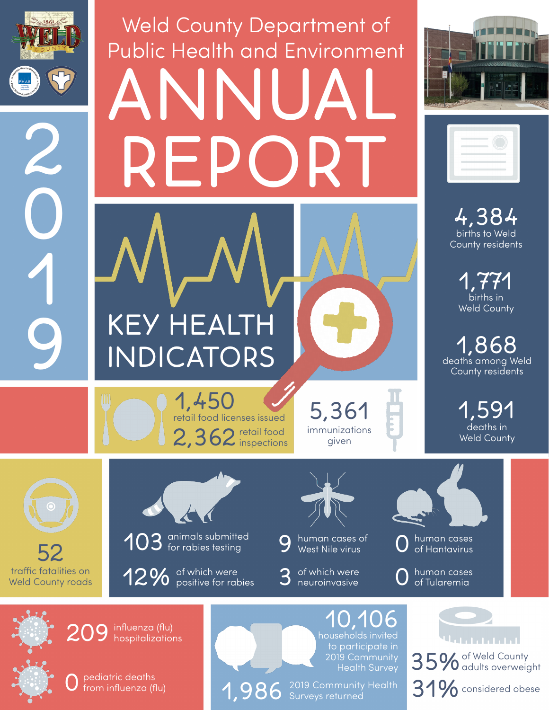

0

1

# Weld County Department of Public Health and Environment ANNUAL REP(





births to Weld County residents 4,384

> births in 1,771 Weld County

deaths among Weld County residents 1,868

> deaths in Weld County 1,591

retail food  $2,362$  inspections retail food licenses issued 1,450

immunizations given 5,361

traffic fatalities on Weld County roads 52



**KEY HEALTH** 

INDICATORS

12% of which were<br>12% positive for rabies

human cases of<br>West Nile virus

of which were<br>neuroinvasive



human cases<br>of Tularemia

 $209$  influenza (flu)<br>hospitalizations

households invited 10,106 to participate in 2019 Community Health Survey

<u> Union in in</u> 35% of Weld County<br>35% adults overweight 0 pediatric deaths<br>
1,986 Surveys returned<br>
31% considered obese